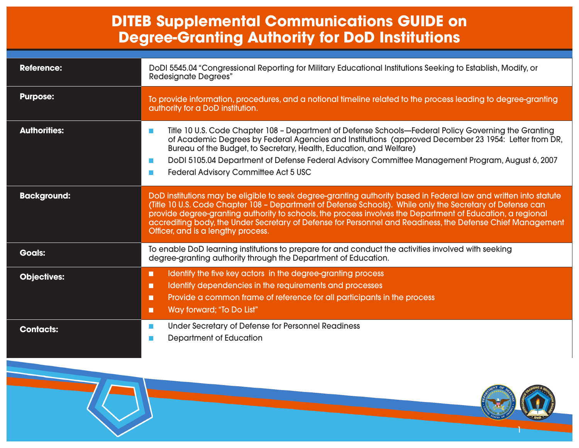#### **DITEB Supplemental Communications GUIDE on Degree-Granting Authority for DoD Institutions**

| <b>Reference:</b>   | DoDI 5545.04 "Congressional Reporting for Military Educational Institutions Seeking to Establish, Modify, or<br><b>Redesignate Degrees"</b>                                                                                                                                                                                                                                                                                                                                                     |
|---------------------|-------------------------------------------------------------------------------------------------------------------------------------------------------------------------------------------------------------------------------------------------------------------------------------------------------------------------------------------------------------------------------------------------------------------------------------------------------------------------------------------------|
| <b>Purpose:</b>     | To provide information, procedures, and a notional timeline related to the process leading to degree-granting<br>authority for a DoD institution.                                                                                                                                                                                                                                                                                                                                               |
| <b>Authorities:</b> | Title 10 U.S. Code Chapter 108 - Department of Defense Schools-Federal Policy Governing the Granting<br><b>College</b><br>of Academic Degrees by Federal Agencies and Institutions (approved December 23 1954: Letter from DR,<br>Bureau of the Budget, to Secretary, Health, Education, and Welfare)<br>DoDI 5105.04 Department of Defense Federal Advisory Committee Management Program, August 6, 2007<br><b>College</b><br><b>Federal Advisory Committee Act 5 USC</b><br><b>The Second</b> |
| <b>Background:</b>  | DoD institutions may be eligible to seek degree-granting authority based in Federal law and written into statute<br>(Title 10 U.S. Code Chapter 108 - Department of Defense Schools). While only the Secretary of Defense can<br>provide degree-granting authority to schools, the process involves the Department of Education, a regional<br>accrediting body, the Under Secretary of Defense for Personnel and Readiness, the Defense Chief Management<br>Officer, and is a lengthy process. |
| <b>Goals:</b>       | To enable DoD learning institutions to prepare for and conduct the activities involved with seeking<br>degree-granting authority through the Department of Education.                                                                                                                                                                                                                                                                                                                           |
| <b>Objectives:</b>  | Identify the five key actors in the degree-granting process<br>П<br>Identify dependencies in the requirements and processes<br>П<br>Provide a common frame of reference for all participants in the process<br>П<br>Way forward; "To Do List"<br>П                                                                                                                                                                                                                                              |
| <b>Contacts:</b>    | Under Secretary of Defense for Personnel Readiness<br><b>College</b><br>Department of Education                                                                                                                                                                                                                                                                                                                                                                                                 |

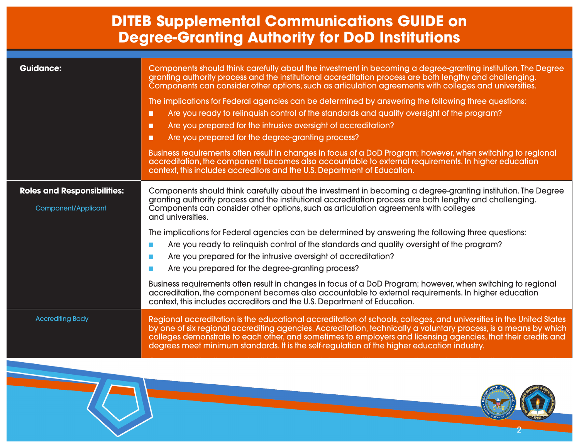#### **DITEB Supplemental Communications GUIDE on Degree-Granting Authority for DoD Institutions**

| <b>Guidance:</b>                                                 | Components should think carefully about the investment in becoming a degree-granting institution. The Degree<br>granting authority process and the institutional accreditation process are both lengthy and challenging.<br>Components can consider other options, such as articulation agreements with colleges and universities.<br>The implications for Federal agencies can be determined by answering the following three questions:<br>Are you ready to relinquish control of the standards and quality oversight of the program?<br>П<br>Are you prepared for the intrusive oversight of accreditation?<br>П<br>Are you prepared for the degree-granting process?<br>П<br>Business requirements often result in changes in focus of a DoD Program; however, when switching to regional<br>accreditation, the component becomes also accountable to external requirements. In higher education<br>context, this includes accreditors and the U.S. Department of Education.      |
|------------------------------------------------------------------|---------------------------------------------------------------------------------------------------------------------------------------------------------------------------------------------------------------------------------------------------------------------------------------------------------------------------------------------------------------------------------------------------------------------------------------------------------------------------------------------------------------------------------------------------------------------------------------------------------------------------------------------------------------------------------------------------------------------------------------------------------------------------------------------------------------------------------------------------------------------------------------------------------------------------------------------------------------------------------------|
| <b>Roles and Responsibilities:</b><br><b>Component/Applicant</b> | Components should think carefully about the investment in becoming a degree-granting institution. The Degree<br>granting authority process and the institutional accreditation process are both lengthy and challenging.<br>Components can consider other options, such as articulation agreements with colleges<br>and universities.<br>The implications for Federal agencies can be determined by answering the following three questions:<br>Are you ready to relinguish control of the standards and quality oversight of the program?<br>Are you prepared for the intrusive oversight of accreditation?<br>$\mathcal{L}$<br>Are you prepared for the degree-granting process?<br>Business requirements often result in changes in focus of a DoD Program; however, when switching to regional<br>accreditation, the component becomes also accountable to external requirements. In higher education<br>context, this includes accreditors and the U.S. Department of Education. |
| <b>Accrediting Body</b>                                          | Regional accreditation is the educational accreditation of schools, colleges, and universities in the United States<br>by one of six regional accrediting agencies. Accreditation, technically a voluntary process, is a means by which<br>colleges demonstrate to each other, and sometimes to employers and licensing agencies, that their credits and<br>degrees meet minimum standards. It is the self-regulation of the higher education industry.                                                                                                                                                                                                                                                                                                                                                                                                                                                                                                                               |

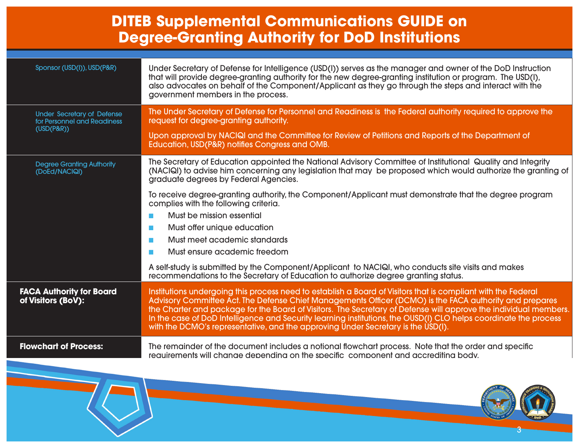#### **DITEB Supplemental Communications GUIDE on Degree-Granting Authority for DoD Institutions**

| Sponsor (USD(I)), USD(P&R)                                                        | Under Secretary of Defense for Intelligence (USD(I)) serves as the manager and owner of the DoD Instruction<br>that will provide degree-granting authority for the new degree-granting institution or program. The USD(I),<br>also advocates on behalf of the Component/Applicant as they go through the steps and interact with the<br>government members in the process.                                                                                                                                                                           |
|-----------------------------------------------------------------------------------|------------------------------------------------------------------------------------------------------------------------------------------------------------------------------------------------------------------------------------------------------------------------------------------------------------------------------------------------------------------------------------------------------------------------------------------------------------------------------------------------------------------------------------------------------|
| <b>Under Secretary of Defense</b><br>for Personnel and Readiness<br>$(USD(P\&R))$ | The Under Secretary of Defense for Personnel and Readiness is the Federal authority required to approve the<br>request for degree-granting authority.<br>Upon approval by NACIQI and the Committee for Review of Petitions and Reports of the Department of<br>Education, USD(P&R) notifies Congress and OMB.                                                                                                                                                                                                                                        |
|                                                                                   |                                                                                                                                                                                                                                                                                                                                                                                                                                                                                                                                                      |
| <b>Degree Granting Authority</b><br>(DoEd/NACIQI)                                 | The Secretary of Education appointed the National Advisory Committee of Institutional Quality and Integrity<br>(NACIQI) to advise him concerning any legislation that may be proposed which would authorize the granting of<br>graduate degrees by Federal Agencies.                                                                                                                                                                                                                                                                                 |
|                                                                                   | To receive degree-granting authority, the Component/Applicant must demonstrate that the degree program<br>complies with the following criteria.                                                                                                                                                                                                                                                                                                                                                                                                      |
|                                                                                   | Must be mission essential<br>$\mathcal{L}_{\mathcal{A}}$                                                                                                                                                                                                                                                                                                                                                                                                                                                                                             |
|                                                                                   | Must offer unique education<br><b>Contract</b>                                                                                                                                                                                                                                                                                                                                                                                                                                                                                                       |
|                                                                                   | Must meet academic standards<br><b>College</b>                                                                                                                                                                                                                                                                                                                                                                                                                                                                                                       |
|                                                                                   | Must ensure academic freedom<br>$\mathcal{L}_{\mathcal{A}}$                                                                                                                                                                                                                                                                                                                                                                                                                                                                                          |
|                                                                                   | A self-study is submitted by the Component/Applicant to NACIQI, who conducts site visits and makes<br>recommendations to the Secretary of Education to authorize degree granting status.                                                                                                                                                                                                                                                                                                                                                             |
| <b>FACA Authority for Board</b><br>of Visitors (BoV):                             | Institutions undergoing this process need to establish a Board of Visitors that is compliant with the Federal<br>Advisory Committee Act. The Defense Chief Managements Officer (DCMO) is the FACA authority and prepares<br>the Charter and package for the Board of Visitors. The Secretary of Defense will approve the individual members.<br>In the case of DoD Intelligence and Security learning institutions, the OUSD(I) CLO helps coordinate the process<br>with the DCMO's representative, and the approving Under Secretary is the USD(I). |
| <b>Flowchart of Process:</b>                                                      | The remainder of the document includes a notional flowchart process. Note that the order and specific<br>requirements will change depending on the specific component and accrediting body.                                                                                                                                                                                                                                                                                                                                                          |
|                                                                                   |                                                                                                                                                                                                                                                                                                                                                                                                                                                                                                                                                      |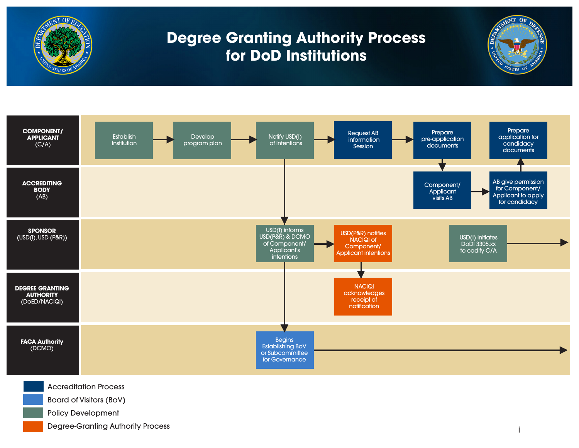



Degree-Granting Authority Process

i

MENT OF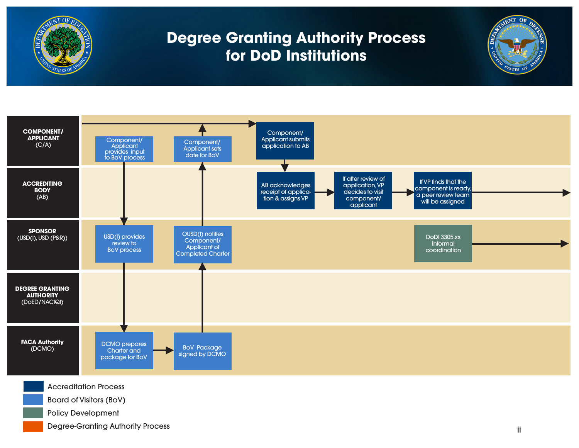**AENT OF** 

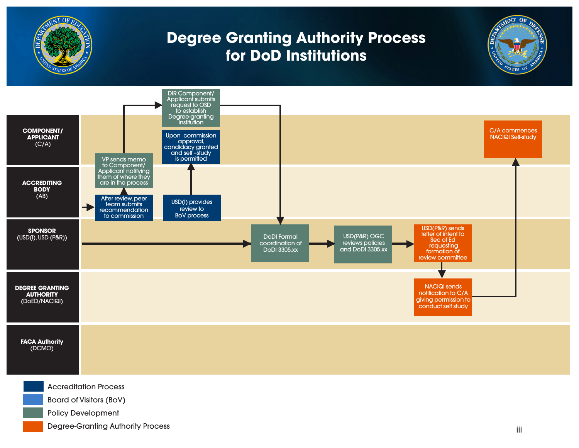

Degree-Granting Authority Process

**AENT OF**